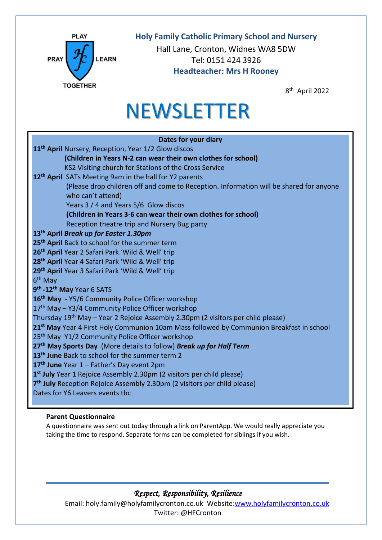

# **Holy Family Catholic Primary School and Nursery**

Hall Lane, Cronton, Widnes WA8 5DW Tel: 0151 424 3926 **Headteacher: Mrs H Rooney**

8 th April 2022

# **NEWSLETTER**

| Dates for your diary                                                                                 |
|------------------------------------------------------------------------------------------------------|
| 11 <sup>th</sup> April Nursery, Reception, Year 1/2 Glow discos                                      |
| (Children in Years N-2 can wear their own clothes for school)                                        |
| KS2 Visiting church for Stations of the Cross Service                                                |
| 12 <sup>th</sup> April SATs Meeting 9am in the hall for Y2 parents                                   |
| (Please drop children off and come to Reception. Information will be shared for anyone               |
| who can't attend)                                                                                    |
| Years 3 / 4 and Years 5/6 Glow discos                                                                |
| (Children in Years 3-6 can wear their own clothes for school)                                        |
| Reception theatre trip and Nursery Bug party                                                         |
| 13 <sup>th</sup> April Break up for Easter 1.30pm                                                    |
| 25 <sup>th</sup> April Back to school for the summer term                                            |
| 26 <sup>th</sup> April Year 2 Safari Park 'Wild & Well' trip                                         |
| 28 <sup>th</sup> April Year 4 Safari Park 'Wild & Well' trip                                         |
| 29th April Year 3 Safari Park 'Wild & Well' trip                                                     |
| 6 <sup>th</sup> May                                                                                  |
| 9 <sup>th</sup> -12 <sup>th</sup> May Year 6 SATS                                                    |
| 16 <sup>th</sup> May - Y5/6 Community Police Officer workshop                                        |
| 17 <sup>th</sup> May - Y3/4 Community Police Officer workshop                                        |
| Thursday 19 <sup>th</sup> May - Year 2 Rejoice Assembly 2.30pm (2 visitors per child please)         |
| 21 <sup>st</sup> May Year 4 First Holy Communion 10am Mass followed by Communion Breakfast in school |
| 25 <sup>th</sup> May Y1/2 Community Police Officer workshop                                          |
| 27th May Sports Day (More details to follow) Break up for Half Term                                  |
| 13 <sup>th</sup> June Back to school for the summer term 2                                           |
| 17 <sup>th</sup> June Year 1 - Father's Day event 2pm                                                |
| 1 <sup>st</sup> July Year 1 Rejoice Assembly 2.30pm (2 visitors per child please)                    |
| 7 <sup>th</sup> July Reception Rejoice Assembly 2.30pm (2 visitors per child please)                 |
| Dates for Y6 Leavers events tbc                                                                      |
|                                                                                                      |

# **Parent Questionnaire**

A questionnaire was sent out today through a link on ParentApp. We would really appreciate you taking the time to respond. Separate forms can be completed for siblings if you wish.

# *Respect, Responsibility, Resilience*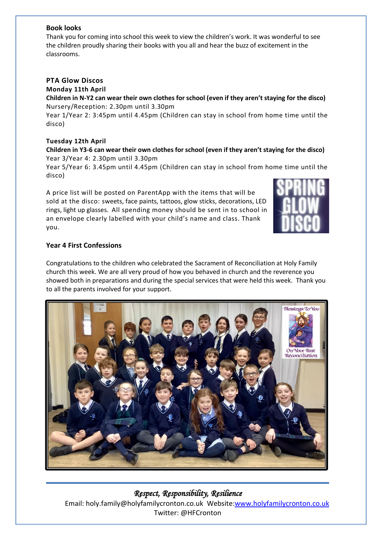## **Book looks**

Thank you for coming into school this week to view the children's work. It was wonderful to see the children proudly sharing their books with you all and hear the buzz of excitement in the classrooms.

## **PTA Glow Discos**

**Monday 11th April** 

#### **Children in N-Y2 can wear their own clothes for school (even if they aren't staying for the disco)** Nursery/Reception: 2.30pm until 3.30pm

Year 1/Year 2: 3:45pm until 4.45pm (Children can stay in school from home time until the disco)

#### **Tuesday 12th April**

## **Children in Y3-6 can wear their own clothes for school (even if they aren't staying for the disco)** Year 3/Year 4: 2.30pm until 3.30pm

Year 5/Year 6: 3.45pm until 4.45pm (Children can stay in school from home time until the disco)

A price list will be posted on ParentApp with the items that will be sold at the disco: sweets, face paints, tattoos, glow sticks, decorations, LED rings, light up glasses. All spending money should be sent in to school in an envelope clearly labelled with your child's name and class. Thank you.



## **Year 4 First Confessions**

Congratulations to the children who celebrated the Sacrament of Reconciliation at Holy Family church this week. We are all very proud of how you behaved in church and the reverence you showed both in preparations and during the special services that were held this week. Thank you to all the parents involved for your support.



# *Respect, Responsibility, Resilience*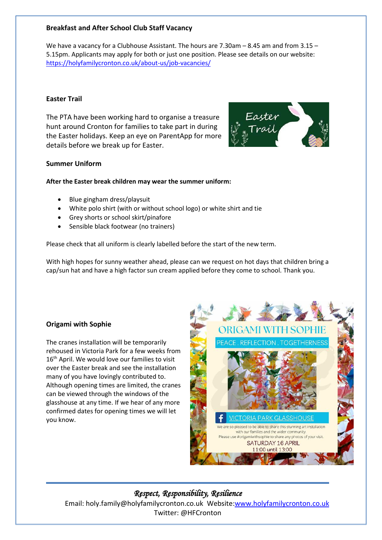## **Breakfast and After School Club Staff Vacancy**

We have a vacancy for a Clubhouse Assistant. The hours are 7.30am – 8.45 am and from 3.15 – 5.15pm. Applicants may apply for both or just one position. Please see details on our website: <https://holyfamilycronton.co.uk/about-us/job-vacancies/>

#### **Easter Trail**

The PTA have been working hard to organise a treasure hunt around Cronton for families to take part in during the Easter holidays. Keep an eye on ParentApp for more details before we break up for Easter.



#### **Summer Uniform**

#### **After the Easter break children may wear the summer uniform:**

- Blue gingham dress/playsuit
- White polo shirt (with or without school logo) or white shirt and tie
- Grey shorts or school skirt/pinafore
- Sensible black footwear (no trainers)

Please check that all uniform is clearly labelled before the start of the new term.

With high hopes for sunny weather ahead, please can we request on hot days that children bring a cap/sun hat and have a high factor sun cream applied before they come to school. Thank you.

## **Origami with Sophie**

The cranes installation will be temporarily rehoused in Victoria Park for a few weeks from 16<sup>th</sup> April. We would love our families to visit over the Easter break and see the installation many of you have lovingly contributed to. Although opening times are limited, the cranes can be viewed through the windows of the glasshouse at any time. If we hear of any more confirmed dates for opening times we will let you know.



# *Respect, Responsibility, Resilience*